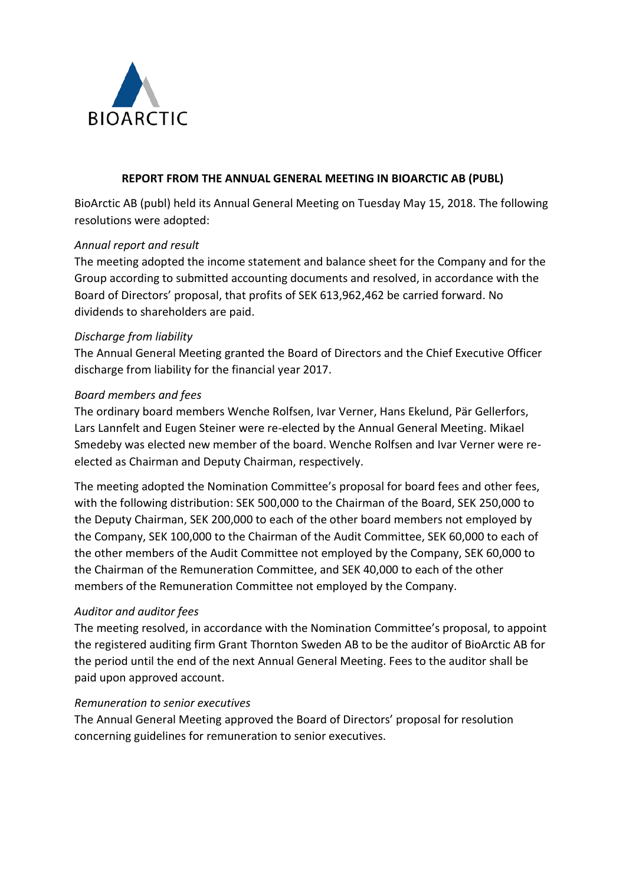

## **REPORT FROM THE ANNUAL GENERAL MEETING IN BIOARCTIC AB (PUBL)**

BioArctic AB (publ) held its Annual General Meeting on Tuesday May 15, 2018. The following resolutions were adopted:

## *Annual report and result*

The meeting adopted the income statement and balance sheet for the Company and for the Group according to submitted accounting documents and resolved, in accordance with the Board of Directors' proposal, that profits of SEK 613,962,462 be carried forward. No dividends to shareholders are paid.

## *Discharge from liability*

The Annual General Meeting granted the Board of Directors and the Chief Executive Officer discharge from liability for the financial year 2017.

## *Board members and fees*

The ordinary board members Wenche Rolfsen, Ivar Verner, Hans Ekelund, Pär Gellerfors, Lars Lannfelt and Eugen Steiner were re-elected by the Annual General Meeting. Mikael Smedeby was elected new member of the board. Wenche Rolfsen and Ivar Verner were reelected as Chairman and Deputy Chairman, respectively.

The meeting adopted the Nomination Committee's proposal for board fees and other fees, with the following distribution: SEK 500,000 to the Chairman of the Board, SEK 250,000 to the Deputy Chairman, SEK 200,000 to each of the other board members not employed by the Company, SEK 100,000 to the Chairman of the Audit Committee, SEK 60,000 to each of the other members of the Audit Committee not employed by the Company, SEK 60,000 to the Chairman of the Remuneration Committee, and SEK 40,000 to each of the other members of the Remuneration Committee not employed by the Company.

#### *Auditor and auditor fees*

The meeting resolved, in accordance with the Nomination Committee's proposal, to appoint the registered auditing firm Grant Thornton Sweden AB to be the auditor of BioArctic AB for the period until the end of the next Annual General Meeting. Fees to the auditor shall be paid upon approved account.

#### *Remuneration to senior executives*

The Annual General Meeting approved the Board of Directors' proposal for resolution concerning guidelines for remuneration to senior executives.